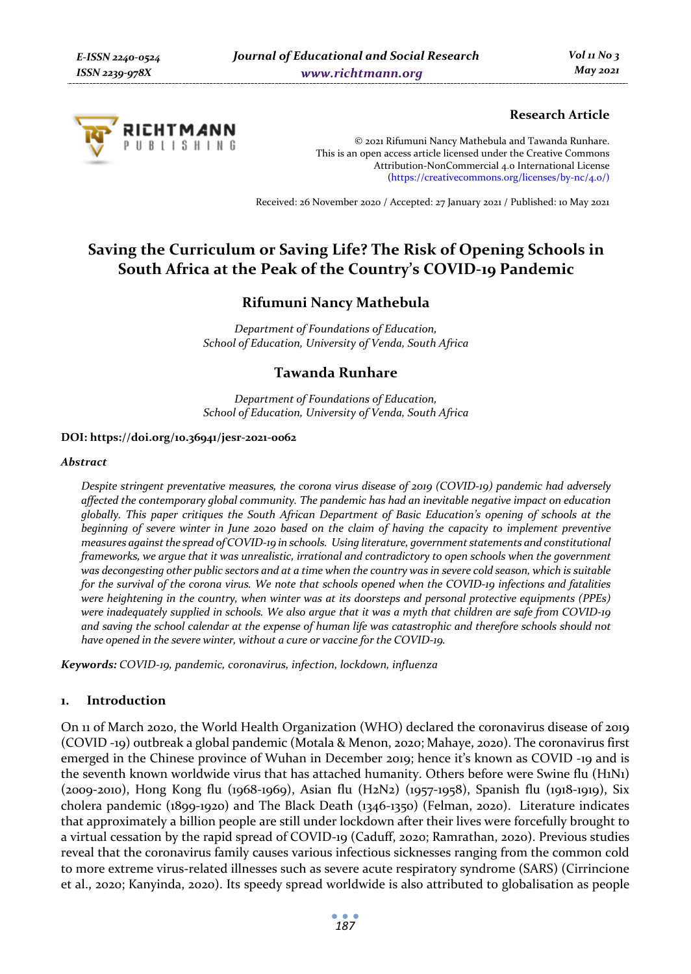

## **Research Article**

© 2021 Rifumuni Nancy Mathebula and Tawanda Runhare. This is an open access article licensed under the Creative Commons Attribution-NonCommercial 4.0 International License (https://creativecommons.org/licenses/by-nc/4.0/)

Received: 26 November 2020 / Accepted: 27 January 2021 / Published: 10 May 2021

# **Saving the Curriculum or Saving Life? The Risk of Opening Schools in South Africa at the Peak of the Country's COVID-19 Pandemic**

## **Rifumuni Nancy Mathebula**

*Department of Foundations of Education, School of Education, University of Venda, South Africa* 

## **Tawanda Runhare**

*Department of Foundations of Education, School of Education, University of Venda, South Africa* 

#### **DOI: https://doi.org/10.36941/jesr-2021-0062**

#### *Abstract*

*Despite stringent preventative measures, the corona virus disease of 2019 (COVID-19) pandemic had adversely affected the contemporary global community. The pandemic has had an inevitable negative impact on education globally. This paper critiques the South African Department of Basic Education's opening of schools at the beginning of severe winter in June 2020 based on the claim of having the capacity to implement preventive measures against the spread of COVID-19 in schools. Using literature, government statements and constitutional frameworks, we argue that it was unrealistic, irrational and contradictory to open schools when the government was decongesting other public sectors and at a time when the country was in severe cold season, which is suitable for the survival of the corona virus. We note that schools opened when the COVID-19 infections and fatalities were heightening in the country, when winter was at its doorsteps and personal protective equipments (PPEs) were inadequately supplied in schools. We also argue that it was a myth that children are safe from COVID-19 and saving the school calendar at the expense of human life was catastrophic and therefore schools should not have opened in the severe winter, without a cure or vaccine for the COVID-19.* 

*Keywords: COVID-19, pandemic, coronavirus, infection, lockdown, influenza* 

## **1. Introduction**

On 11 of March 2020, the World Health Organization (WHO) declared the coronavirus disease of 2019 (COVID -19) outbreak a global pandemic (Motala & Menon, 2020; Mahaye, 2020). The coronavirus first emerged in the Chinese province of Wuhan in December 2019; hence it's known as COVID -19 and is the seventh known worldwide virus that has attached humanity. Others before were Swine flu (H1N1) (2009-2010), Hong Kong flu (1968-1969), Asian flu (H2N2) (1957-1958), Spanish flu (1918-1919), Six cholera pandemic (1899-1920) and The Black Death (1346-1350) (Felman, 2020). Literature indicates that approximately a billion people are still under lockdown after their lives were forcefully brought to a virtual cessation by the rapid spread of COVID-19 (Caduff, 2020; Ramrathan, 2020). Previous studies reveal that the coronavirus family causes various infectious sicknesses ranging from the common cold to more extreme virus-related illnesses such as severe acute respiratory syndrome (SARS) (Cirrincione et al., 2020; Kanyinda, 2020). Its speedy spread worldwide is also attributed to globalisation as people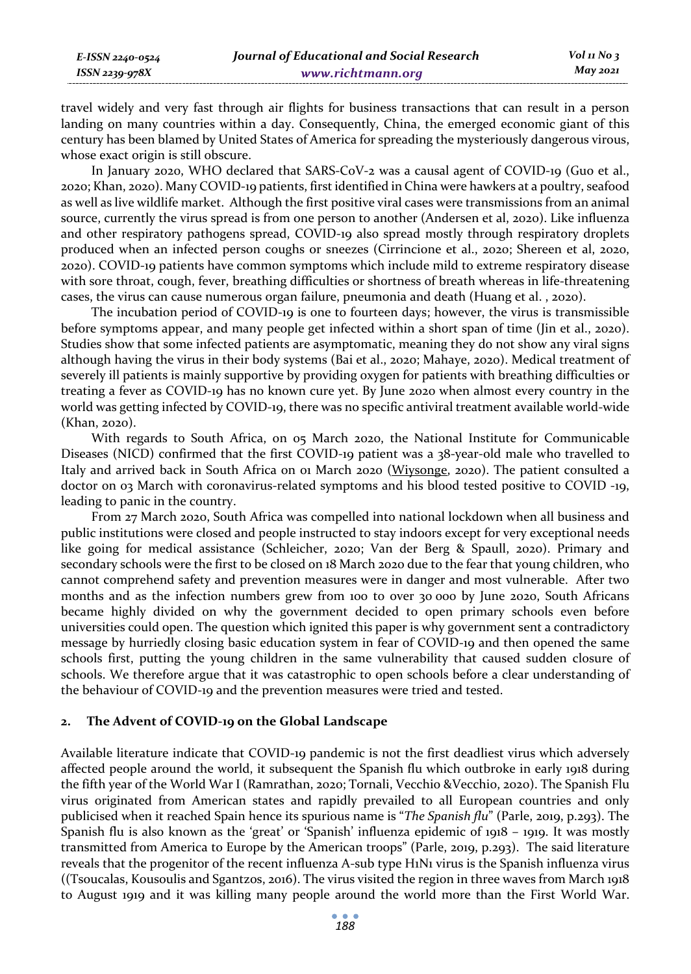travel widely and very fast through air flights for business transactions that can result in a person landing on many countries within a day. Consequently, China, the emerged economic giant of this century has been blamed by United States of America for spreading the mysteriously dangerous virous, whose exact origin is still obscure.

In January 2020, WHO declared that SARS-CoV-2 was a causal agent of COVID-19 (Guo et al., 2020; Khan, 2020). Many COVID-19 patients, first identified in China were hawkers at a poultry, seafood as well as live wildlife market. Although the first positive viral cases were transmissions from an animal source, currently the virus spread is from one person to another (Andersen et al, 2020). Like influenza and other respiratory pathogens spread, COVID-19 also spread mostly through respiratory droplets produced when an infected person coughs or sneezes (Cirrincione et al., 2020; Shereen et al, 2020, 2020). COVID-19 patients have common symptoms which include mild to extreme respiratory disease with sore throat, cough, fever, breathing difficulties or shortness of breath whereas in life-threatening cases, the virus can cause numerous organ failure, pneumonia and death (Huang et al. , 2020).

The incubation period of COVID-19 is one to fourteen days; however, the virus is transmissible before symptoms appear, and many people get infected within a short span of time (Jin et al., 2020). Studies show that some infected patients are asymptomatic, meaning they do not show any viral signs although having the virus in their body systems (Bai et al., 2020; Mahaye, 2020). Medical treatment of severely ill patients is mainly supportive by providing oxygen for patients with breathing difficulties or treating a fever as COVID-19 has no known cure yet. By June 2020 when almost every country in the world was getting infected by COVID-19, there was no specific antiviral treatment available world-wide (Khan, 2020).

With regards to South Africa, on 05 March 2020, the National Institute for Communicable Diseases (NICD) confirmed that the first COVID-19 patient was a 38-year-old male who travelled to Italy and arrived back in South Africa on 01 March 2020 (Wiysonge, 2020). The patient consulted a doctor on 03 March with coronavirus-related symptoms and his blood tested positive to COVID -19, leading to panic in the country.

From 27 March 2020, South Africa was compelled into national lockdown when all business and public institutions were closed and people instructed to stay indoors except for very exceptional needs like going for medical assistance (Schleicher, 2020; Van der Berg & Spaull, 2020). Primary and secondary schools were the first to be closed on 18 March 2020 due to the fear that young children, who cannot comprehend safety and prevention measures were in danger and most vulnerable. After two months and as the infection numbers grew from 100 to over 30 000 by June 2020, South Africans became highly divided on why the government decided to open primary schools even before universities could open. The question which ignited this paper is why government sent a contradictory message by hurriedly closing basic education system in fear of COVID-19 and then opened the same schools first, putting the young children in the same vulnerability that caused sudden closure of schools. We therefore argue that it was catastrophic to open schools before a clear understanding of the behaviour of COVID-19 and the prevention measures were tried and tested.

## **2. The Advent of COVID-19 on the Global Landscape**

Available literature indicate that COVID-19 pandemic is not the first deadliest virus which adversely affected people around the world, it subsequent the Spanish flu which outbroke in early 1918 during the fifth year of the World War I (Ramrathan, 2020; Tornali, Vecchio &Vecchio, 2020). The Spanish Flu virus originated from American states and rapidly prevailed to all European countries and only publicised when it reached Spain hence its spurious name is "*The Spanish flu*" (Parle, 2019, p.293). The Spanish flu is also known as the 'great' or 'Spanish' influenza epidemic of 1918 – 1919. It was mostly transmitted from America to Europe by the American troops" (Parle, 2019, p.293). The said literature reveals that the progenitor of the recent influenza A-sub type H1N1 virus is the Spanish influenza virus ((Tsoucalas, Kousoulis and Sgantzos, 2016). The virus visited the region in three waves from March 1918 to August 1919 and it was killing many people around the world more than the First World War.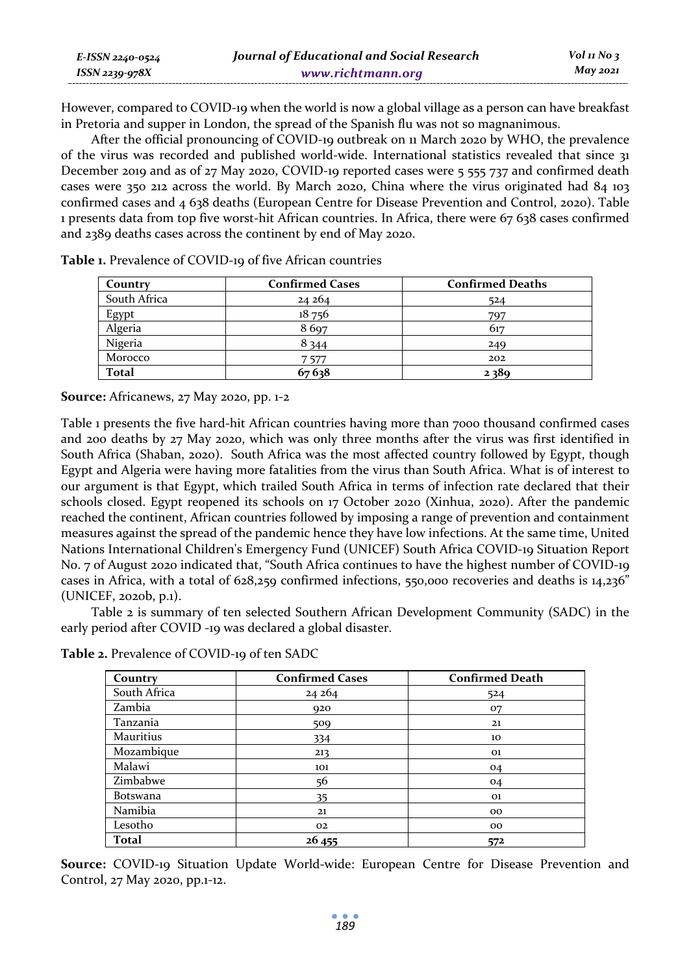| E-ISSN 2240-0524 | Journal of Educational and Social Research | $Vol_1N_0$ 3 |
|------------------|--------------------------------------------|--------------|
| $ISSN$ 2239-978X | www.richtmann.org                          | $May\,2021$  |

However, compared to COVID-19 when the world is now a global village as a person can have breakfast in Pretoria and supper in London, the spread of the Spanish flu was not so magnanimous.

After the official pronouncing of COVID-19 outbreak on 11 March 2020 by WHO, the prevalence of the virus was recorded and published world-wide. International statistics revealed that since 31 December 2019 and as of 27 May 2020, COVID-19 reported cases were 5 555 737 and confirmed death cases were 350 212 across the world. By March 2020, China where the virus originated had 84 103 confirmed cases and 4 638 deaths (European Centre for Disease Prevention and Control, 2020). Table 1 presents data from top five worst-hit African countries. In Africa, there were 67 638 cases confirmed and 2389 deaths cases across the continent by end of May 2020.

| Country      | <b>Confirmed Cases</b> | <b>Confirmed Deaths</b> |
|--------------|------------------------|-------------------------|
| South Africa | 24 264                 | 524                     |
| Egypt        | 18756                  | 797                     |
| Algeria      | 8697                   | 617                     |
| Nigeria      | 8 3 4 4                | 249                     |
| Morocco      | 7 577                  | 202                     |
| <b>Total</b> | 67638                  | 2389                    |

**Table 1.** Prevalence of COVID-19 of five African countries

**Source:** Africanews, 27 May 2020, pp. 1-2

Table 1 presents the five hard-hit African countries having more than 7000 thousand confirmed cases and 200 deaths by 27 May 2020, which was only three months after the virus was first identified in South Africa (Shaban, 2020). South Africa was the most affected country followed by Egypt, though Egypt and Algeria were having more fatalities from the virus than South Africa. What is of interest to our argument is that Egypt, which trailed South Africa in terms of infection rate declared that their schools closed. Egypt reopened its schools on 17 October 2020 (Xinhua, 2020). After the pandemic reached the continent, African countries followed by imposing a range of prevention and containment measures against the spread of the pandemic hence they have low infections. At the same time, United Nations International Children's Emergency Fund (UNICEF) South Africa COVID-19 Situation Report No. 7 of August 2020 indicated that, "South Africa continues to have the highest number of COVID-19 cases in Africa, with a total of 628,259 confirmed infections, 550,000 recoveries and deaths is 14,236" (UNICEF, 2020b, p.1).

Table 2 is summary of ten selected Southern African Development Community (SADC) in the early period after COVID -19 was declared a global disaster.

| Country         | <b>Confirmed Cases</b> | <b>Confirmed Death</b> |
|-----------------|------------------------|------------------------|
| South Africa    | 24 264                 | 524                    |
| Zambia          | 920                    | 07                     |
| Tanzania        | 509                    | 21                     |
| Mauritius       | 334                    | 10                     |
| Mozambique      | 213                    | 01                     |
| Malawi          | 101                    | 04                     |
| Zimbabwe        | 56                     | 04                     |
| <b>Botswana</b> | 35                     | 01                     |
| Namibia         | 21                     | $^{00}$                |
| Lesotho         | 02                     | $^{oo}$                |
| <b>Total</b>    | 26 455                 | 572                    |

**Table 2.** Prevalence of COVID-19 of ten SADC

**Source:** COVID-19 Situation Update World-wide: European Centre for Disease Prevention and Control, 27 May 2020, pp.1-12.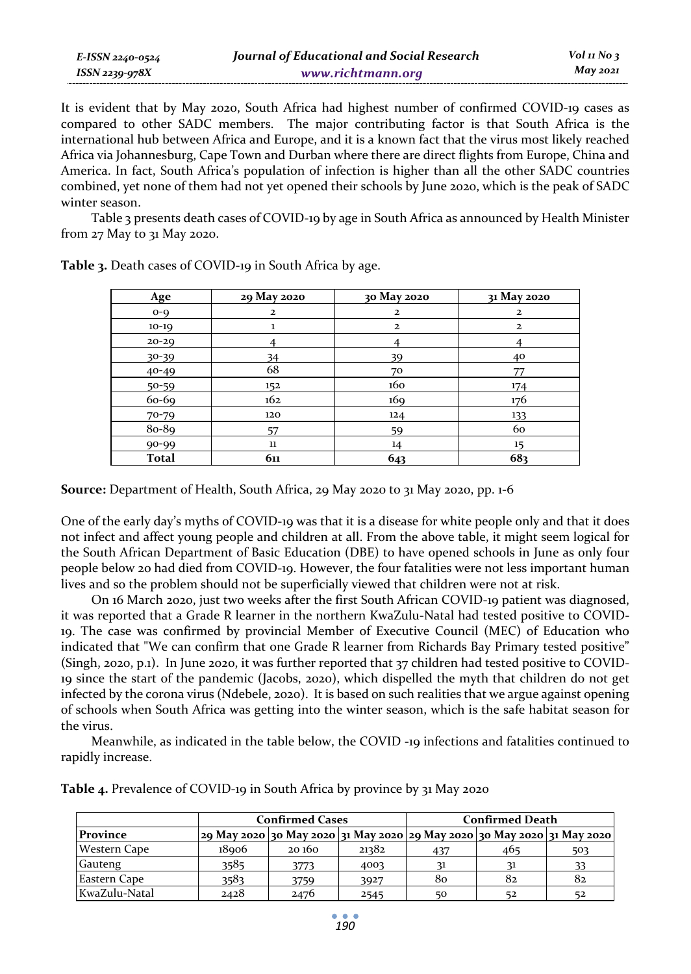| E-ISSN 2240-0524 | Journal of Educational and Social Research | Vol 11 No $\frac{3}{2}$ |
|------------------|--------------------------------------------|-------------------------|
| ISSN 2239-978X   | www.richtmann.org                          | May 2021                |

It is evident that by May 2020, South Africa had highest number of confirmed COVID-19 cases as compared to other SADC members. The major contributing factor is that South Africa is the international hub between Africa and Europe, and it is a known fact that the virus most likely reached Africa via Johannesburg, Cape Town and Durban where there are direct flights from Europe, China and America. In fact, South Africa's population of infection is higher than all the other SADC countries combined, yet none of them had not yet opened their schools by June 2020, which is the peak of SADC winter season.

Table 3 presents death cases of COVID-19 by age in South Africa as announced by Health Minister from 27 May to 31 May 2020.

| Age          | 29 May 2020  | 30 May 2020  | 31 May 2020    |
|--------------|--------------|--------------|----------------|
| $O-Q$        | $\mathbf{2}$ | $\mathbf{z}$ | $\overline{a}$ |
| $10-19$      |              | $\mathbf{z}$ | $\overline{a}$ |
| $20 - 29$    |              |              |                |
| 30-39        | 34           | 39           | 40             |
| $40 - 49$    | 68           | 70           | 77             |
| $50 - 59$    | 152          | 160          | 174            |
| 60-69        | 162          | 169          | 176            |
| 70-79        | 120          | 124          | 133            |
| 80-89        | 57           | 59           | 60             |
| 90-99        | $11\,$       | 14           | 15             |
| <b>Total</b> | 611          | 643          | 683            |

**Table 3.** Death cases of COVID-19 in South Africa by age.

**Source:** Department of Health, South Africa, 29 May 2020 to 31 May 2020, pp. 1-6

One of the early day's myths of COVID-19 was that it is a disease for white people only and that it does not infect and affect young people and children at all. From the above table, it might seem logical for the South African Department of Basic Education (DBE) to have opened schools in June as only four people below 20 had died from COVID-19. However, the four fatalities were not less important human lives and so the problem should not be superficially viewed that children were not at risk.

On 16 March 2020, just two weeks after the first South African COVID-19 patient was diagnosed, it was reported that a Grade R learner in the northern KwaZulu-Natal had tested positive to COVID-19. The case was confirmed by provincial Member of Executive Council (MEC) of Education who indicated that "We can confirm that one Grade R learner from Richards Bay Primary tested positive" (Singh, 2020, p.1). In June 2020, it was further reported that 37 children had tested positive to COVID-19 since the start of the pandemic (Jacobs, 2020), which dispelled the myth that children do not get infected by the corona virus (Ndebele, 2020). It is based on such realities that we argue against opening of schools when South Africa was getting into the winter season, which is the safe habitat season for the virus.

Meanwhile, as indicated in the table below, the COVID -19 infections and fatalities continued to rapidly increase.

|                     |                   | <b>Confirmed Cases</b> |       | <b>Confirmed Death</b> |                                                                                   |     |
|---------------------|-------------------|------------------------|-------|------------------------|-----------------------------------------------------------------------------------|-----|
| Province            |                   |                        |       |                        | 29 May 2020   30 May 2020   31 May 2020   29 May 2020   30 May 2020   31 May 2020 |     |
| <b>Western Cape</b> | 18 <sub>006</sub> | 20 160                 | 21382 | 437                    | 465                                                                               | 503 |
| Gauteng             | 3585              | 3773                   | 4003  |                        | 21                                                                                |     |
| Eastern Cape        | 3583              | 3759                   | 3927  | 80                     | 82                                                                                | 82  |
| KwaZulu-Natal       | 2428              | 2476                   | 2545  | 50                     | 52                                                                                | 52  |

**Table 4.** Prevalence of COVID-19 in South Africa by province by 31 May 2020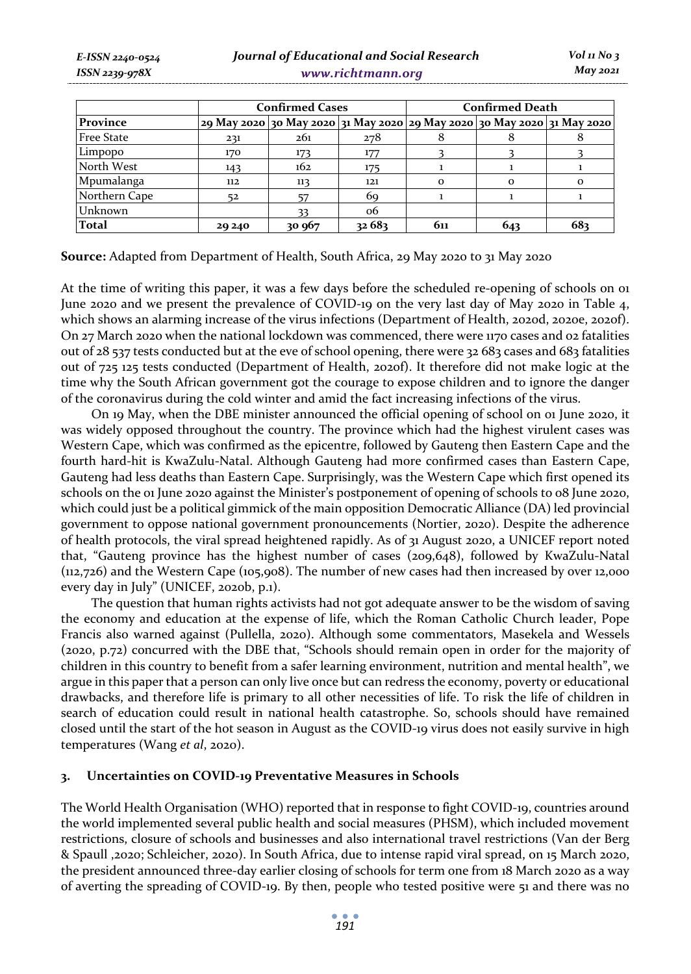|                   | <b>Confirmed Cases</b>                                                  |        |        | <b>Confirmed Death</b> |          |          |
|-------------------|-------------------------------------------------------------------------|--------|--------|------------------------|----------|----------|
| Province          | 29 May 2020 30 May 2020 31 May 2020 29 May 2020 30 May 2020 31 May 2020 |        |        |                        |          |          |
| <b>Free State</b> | 231                                                                     | 261    | 278    |                        |          |          |
| Limpopo           | 170                                                                     | 173    | 177    |                        |          |          |
| North West        | 143                                                                     | 162    | 175    |                        |          |          |
| Mpumalanga        | 112                                                                     | 113    | 121    | $\Omega$               | $\Omega$ | $\Omega$ |
| Northern Cape     | 52                                                                      |        | 69     |                        |          |          |
| Unknown           |                                                                         |        | 06     |                        |          |          |
| <b>Total</b>      | 29 240                                                                  | 30 967 | 32 683 | 611                    | 643      | 682      |

**Source:** Adapted from Department of Health, South Africa, 29 May 2020 to 31 May 2020

At the time of writing this paper, it was a few days before the scheduled re-opening of schools on or June 2020 and we present the prevalence of COVID-19 on the very last day of May 2020 in Table 4, which shows an alarming increase of the virus infections (Department of Health, 2020d, 2020e, 2020f). On 27 March 2020 when the national lockdown was commenced, there were 1170 cases and 02 fatalities out of 28 537 tests conducted but at the eve of school opening, there were 32 683 cases and 683 fatalities out of 725 125 tests conducted (Department of Health, 2020f). It therefore did not make logic at the time why the South African government got the courage to expose children and to ignore the danger of the coronavirus during the cold winter and amid the fact increasing infections of the virus.

On 19 May, when the DBE minister announced the official opening of school on 01 June 2020, it was widely opposed throughout the country. The province which had the highest virulent cases was Western Cape, which was confirmed as the epicentre, followed by Gauteng then Eastern Cape and the fourth hard-hit is KwaZulu-Natal. Although Gauteng had more confirmed cases than Eastern Cape, Gauteng had less deaths than Eastern Cape. Surprisingly, was the Western Cape which first opened its schools on the 01 June 2020 against the Minister's postponement of opening of schools to 08 June 2020, which could just be a political gimmick of the main opposition Democratic Alliance (DA) led provincial government to oppose national government pronouncements (Nortier, 2020). Despite the adherence of health protocols, the viral spread heightened rapidly. As of 31 August 2020, a UNICEF report noted that, "Gauteng province has the highest number of cases (209,648), followed by KwaZulu-Natal (112,726) and the Western Cape (105,908). The number of new cases had then increased by over 12,000 every day in July" (UNICEF, 2020b, p.1).

The question that human rights activists had not got adequate answer to be the wisdom of saving the economy and education at the expense of life, which the Roman Catholic Church leader, Pope Francis also warned against (Pullella, 2020). Although some commentators, Masekela and Wessels (2020, p.72) concurred with the DBE that, "Schools should remain open in order for the majority of children in this country to benefit from a safer learning environment, nutrition and mental health", we argue in this paper that a person can only live once but can redress the economy, poverty or educational drawbacks, and therefore life is primary to all other necessities of life. To risk the life of children in search of education could result in national health catastrophe. So, schools should have remained closed until the start of the hot season in August as the COVID-19 virus does not easily survive in high temperatures (Wang *et al*, 2020).

## **3. Uncertainties on COVID-19 Preventative Measures in Schools**

The World Health Organisation (WHO) reported that in response to fight COVID-19, countries around the world implemented several public health and social measures (PHSM), which included movement restrictions, closure of schools and businesses and also international travel restrictions (Van der Berg & Spaull ,2020; Schleicher, 2020). In South Africa, due to intense rapid viral spread, on 15 March 2020, the president announced three-day earlier closing of schools for term one from 18 March 2020 as a way of averting the spreading of COVID-19. By then, people who tested positive were 51 and there was no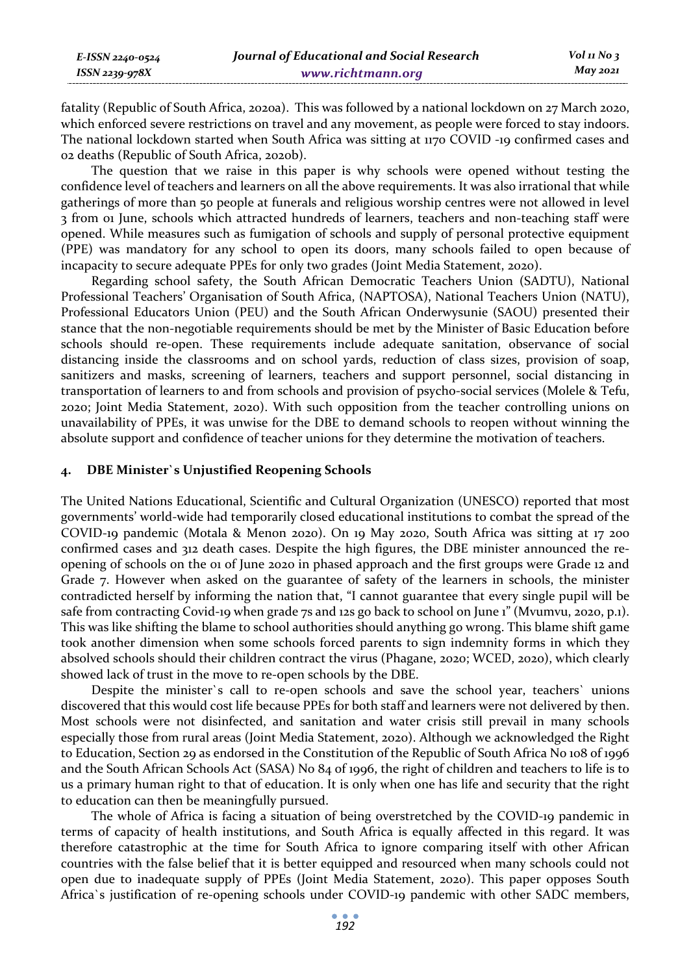| E-ISSN 2240-0524 | Journal of Educational and Social Research | $Vol$ 11 No 3 |
|------------------|--------------------------------------------|---------------|
| ISSN 2239-978X   | www.richtmann.org                          | May 2021      |

fatality (Republic of South Africa, 2020a). This was followed by a national lockdown on 27 March 2020, which enforced severe restrictions on travel and any movement, as people were forced to stay indoors. The national lockdown started when South Africa was sitting at 1170 COVID -19 confirmed cases and 02 deaths (Republic of South Africa, 2020b).

The question that we raise in this paper is why schools were opened without testing the confidence level of teachers and learners on all the above requirements. It was also irrational that while gatherings of more than 50 people at funerals and religious worship centres were not allowed in level 3 from 01 June, schools which attracted hundreds of learners, teachers and non-teaching staff were opened. While measures such as fumigation of schools and supply of personal protective equipment (PPE) was mandatory for any school to open its doors, many schools failed to open because of incapacity to secure adequate PPEs for only two grades (Joint Media Statement, 2020).

Regarding school safety, the South African Democratic Teachers Union (SADTU), National Professional Teachers' Organisation of South Africa, (NAPTOSA), National Teachers Union (NATU), Professional Educators Union (PEU) and the South African Onderwysunie (SAOU) presented their stance that the non-negotiable requirements should be met by the Minister of Basic Education before schools should re-open. These requirements include adequate sanitation, observance of social distancing inside the classrooms and on school yards, reduction of class sizes, provision of soap, sanitizers and masks, screening of learners, teachers and support personnel, social distancing in transportation of learners to and from schools and provision of psycho-social services (Molele & Tefu, 2020; Joint Media Statement, 2020). With such opposition from the teacher controlling unions on unavailability of PPEs, it was unwise for the DBE to demand schools to reopen without winning the absolute support and confidence of teacher unions for they determine the motivation of teachers.

## **4. DBE Minister`s Unjustified Reopening Schools**

The United Nations Educational, Scientific and Cultural Organization (UNESCO) reported that most governments' world-wide had temporarily closed educational institutions to combat the spread of the COVID-19 pandemic (Motala & Menon 2020). On 19 May 2020, South Africa was sitting at 17 200 confirmed cases and 312 death cases. Despite the high figures, the DBE minister announced the reopening of schools on the 01 of June 2020 in phased approach and the first groups were Grade 12 and Grade 7. However when asked on the guarantee of safety of the learners in schools, the minister contradicted herself by informing the nation that, "I cannot guarantee that every single pupil will be safe from contracting Covid-19 when grade 7s and 12s go back to school on June 1" (Mvumvu, 2020, p.1). This was like shifting the blame to school authorities should anything go wrong. This blame shift game took another dimension when some schools forced parents to sign indemnity forms in which they absolved schools should their children contract the virus (Phagane, 2020; WCED, 2020), which clearly showed lack of trust in the move to re-open schools by the DBE.

Despite the minister`s call to re-open schools and save the school year, teachers` unions discovered that this would cost life because PPEs for both staff and learners were not delivered by then. Most schools were not disinfected, and sanitation and water crisis still prevail in many schools especially those from rural areas (Joint Media Statement, 2020). Although we acknowledged the Right to Education, Section 29 as endorsed in the Constitution of the Republic of South Africa No 108 of 1996 and the South African Schools Act (SASA) No 84 of 1996, the right of children and teachers to life is to us a primary human right to that of education. It is only when one has life and security that the right to education can then be meaningfully pursued.

The whole of Africa is facing a situation of being overstretched by the COVID-19 pandemic in terms of capacity of health institutions, and South Africa is equally affected in this regard. It was therefore catastrophic at the time for South Africa to ignore comparing itself with other African countries with the false belief that it is better equipped and resourced when many schools could not open due to inadequate supply of PPEs (Joint Media Statement, 2020). This paper opposes South Africa`s justification of re-opening schools under COVID-19 pandemic with other SADC members,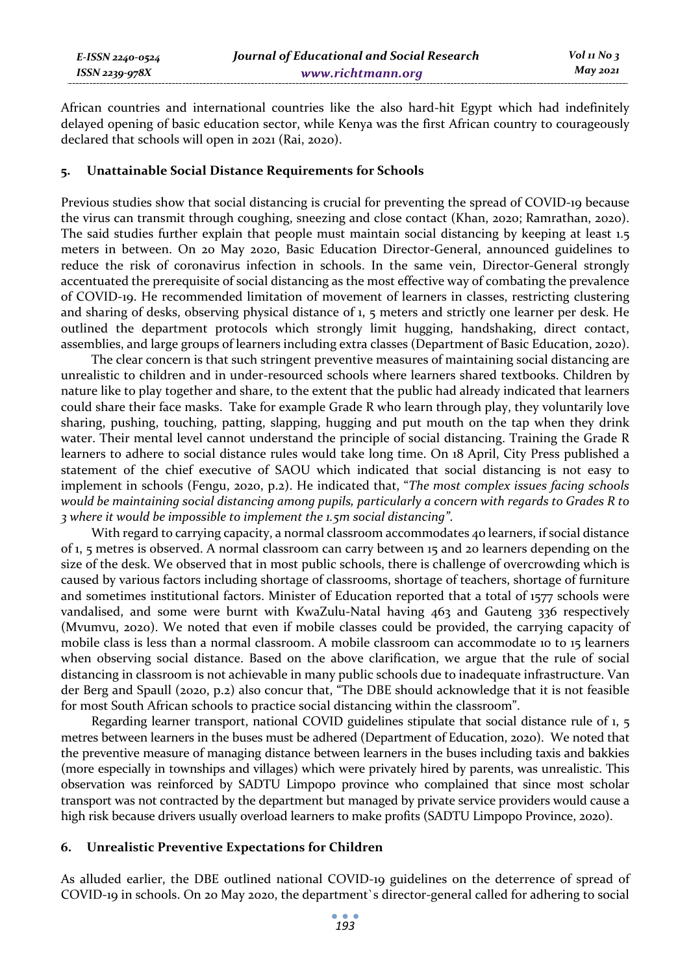African countries and international countries like the also hard-hit Egypt which had indefinitely delayed opening of basic education sector, while Kenya was the first African country to courageously declared that schools will open in 2021 (Rai, 2020).

### **5. Unattainable Social Distance Requirements for Schools**

Previous studies show that social distancing is crucial for preventing the spread of COVID-19 because the virus can transmit through coughing, sneezing and close contact (Khan, 2020; Ramrathan, 2020). The said studies further explain that people must maintain social distancing by keeping at least 1.5 meters in between. On 20 May 2020, Basic Education Director-General, announced guidelines to reduce the risk of coronavirus infection in schools. In the same vein, Director-General strongly accentuated the prerequisite of social distancing as the most effective way of combating the prevalence of COVID-19. He recommended limitation of movement of learners in classes, restricting clustering and sharing of desks, observing physical distance of 1, 5 meters and strictly one learner per desk. He outlined the department protocols which strongly limit hugging, handshaking, direct contact, assemblies, and large groups of learners including extra classes (Department of Basic Education, 2020).

The clear concern is that such stringent preventive measures of maintaining social distancing are unrealistic to children and in under-resourced schools where learners shared textbooks. Children by nature like to play together and share, to the extent that the public had already indicated that learners could share their face masks. Take for example Grade R who learn through play, they voluntarily love sharing, pushing, touching, patting, slapping, hugging and put mouth on the tap when they drink water. Their mental level cannot understand the principle of social distancing. Training the Grade R learners to adhere to social distance rules would take long time. On 18 April, City Press published a statement of the chief executive of SAOU which indicated that social distancing is not easy to implement in schools (Fengu, 2020, p.2). He indicated that, "*The most complex issues facing schools would be maintaining social distancing among pupils, particularly a concern with regards to Grades R to 3 where it would be impossible to implement the 1.5m social distancing"*.

With regard to carrying capacity, a normal classroom accommodates 40 learners, if social distance of 1, 5 metres is observed. A normal classroom can carry between 15 and 20 learners depending on the size of the desk. We observed that in most public schools, there is challenge of overcrowding which is caused by various factors including shortage of classrooms, shortage of teachers, shortage of furniture and sometimes institutional factors. Minister of Education reported that a total of 1577 schools were vandalised, and some were burnt with KwaZulu-Natal having 463 and Gauteng 336 respectively (Mvumvu, 2020). We noted that even if mobile classes could be provided, the carrying capacity of mobile class is less than a normal classroom. A mobile classroom can accommodate 10 to 15 learners when observing social distance. Based on the above clarification, we argue that the rule of social distancing in classroom is not achievable in many public schools due to inadequate infrastructure. Van der Berg and Spaull (2020, p.2) also concur that, "The DBE should acknowledge that it is not feasible for most South African schools to practice social distancing within the classroom".

Regarding learner transport, national COVID guidelines stipulate that social distance rule of  $1, 5$ metres between learners in the buses must be adhered (Department of Education, 2020). We noted that the preventive measure of managing distance between learners in the buses including taxis and bakkies (more especially in townships and villages) which were privately hired by parents, was unrealistic. This observation was reinforced by SADTU Limpopo province who complained that since most scholar transport was not contracted by the department but managed by private service providers would cause a high risk because drivers usually overload learners to make profits (SADTU Limpopo Province, 2020).

## **6. Unrealistic Preventive Expectations for Children**

As alluded earlier, the DBE outlined national COVID-19 guidelines on the deterrence of spread of COVID-19 in schools. On 20 May 2020, the department`s director-general called for adhering to social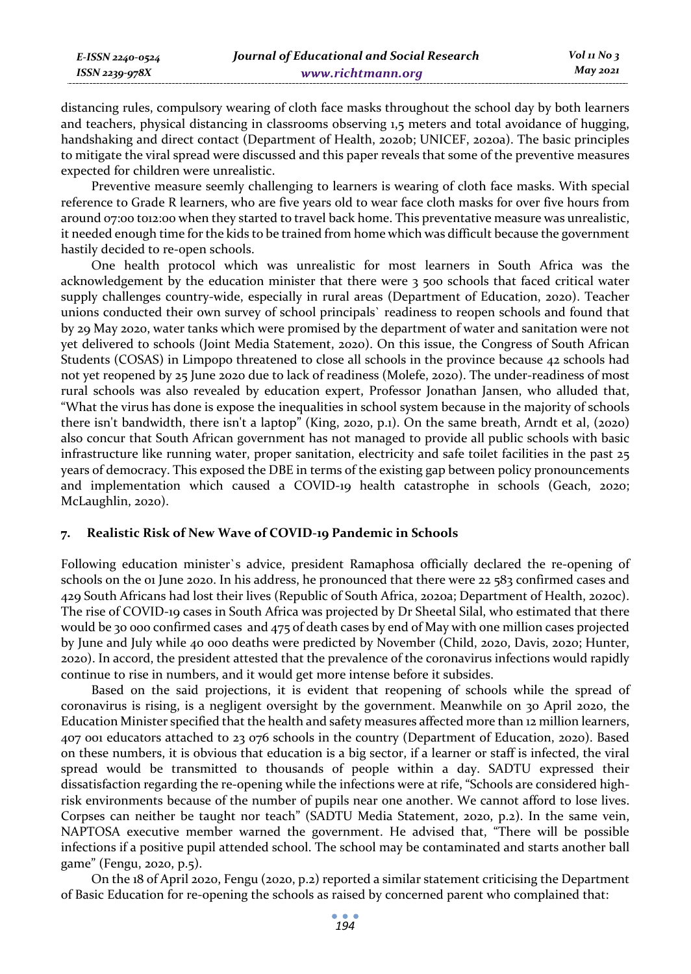distancing rules, compulsory wearing of cloth face masks throughout the school day by both learners and teachers, physical distancing in classrooms observing 1,5 meters and total avoidance of hugging, handshaking and direct contact (Department of Health, 2020b; UNICEF, 2020a). The basic principles to mitigate the viral spread were discussed and this paper reveals that some of the preventive measures expected for children were unrealistic.

Preventive measure seemly challenging to learners is wearing of cloth face masks. With special reference to Grade R learners, who are five years old to wear face cloth masks for over five hours from around 07:00 to12:00 when they started to travel back home. This preventative measure was unrealistic, it needed enough time for the kids to be trained from home which was difficult because the government hastily decided to re-open schools.

One health protocol which was unrealistic for most learners in South Africa was the acknowledgement by the education minister that there were 3 500 schools that faced critical water supply challenges country-wide, especially in rural areas (Department of Education, 2020). Teacher unions conducted their own survey of school principals` readiness to reopen schools and found that by 29 May 2020, water tanks which were promised by the department of water and sanitation were not yet delivered to schools (Joint Media Statement, 2020). On this issue, the Congress of South African Students (COSAS) in Limpopo threatened to close all schools in the province because 42 schools had not yet reopened by 25 June 2020 due to lack of readiness (Molefe, 2020). The under-readiness of most rural schools was also revealed by education expert, Professor Jonathan Jansen, who alluded that, "What the virus has done is expose the inequalities in school system because in the majority of schools there isn't bandwidth, there isn't a laptop" (King, 2020, p.1). On the same breath, Arndt et al, (2020) also concur that South African government has not managed to provide all public schools with basic infrastructure like running water, proper sanitation, electricity and safe toilet facilities in the past 25 years of democracy. This exposed the DBE in terms of the existing gap between policy pronouncements and implementation which caused a COVID-19 health catastrophe in schools (Geach, 2020; McLaughlin, 2020).

## **7. Realistic Risk of New Wave of COVID-19 Pandemic in Schools**

Following education minister`s advice, president Ramaphosa officially declared the re-opening of schools on the 01 June 2020. In his address, he pronounced that there were 22 583 confirmed cases and 429 South Africans had lost their lives (Republic of South Africa, 2020a; Department of Health, 2020c). The rise of COVID-19 cases in South Africa was projected by Dr Sheetal Silal, who estimated that there would be 30 000 confirmed cases and 475 of death cases by end of May with one million cases projected by June and July while 40 000 deaths were predicted by November (Child, 2020, Davis, 2020; Hunter, 2020). In accord, the president attested that the prevalence of the coronavirus infections would rapidly continue to rise in numbers, and it would get more intense before it subsides.

Based on the said projections, it is evident that reopening of schools while the spread of coronavirus is rising, is a negligent oversight by the government. Meanwhile on 30 April 2020, the Education Minister specified that the health and safety measures affected more than 12 million learners, 407 001 educators attached to 23 076 schools in the country (Department of Education, 2020). Based on these numbers, it is obvious that education is a big sector, if a learner or staff is infected, the viral spread would be transmitted to thousands of people within a day. SADTU expressed their dissatisfaction regarding the re-opening while the infections were at rife, "Schools are considered highrisk environments because of the number of pupils near one another. We cannot afford to lose lives. Corpses can neither be taught nor teach" (SADTU Media Statement, 2020, p.2). In the same vein, NAPTOSA executive member warned the government. He advised that, "There will be possible infections if a positive pupil attended school. The school may be contaminated and starts another ball game" (Fengu, 2020, p.5).

On the 18 of April 2020, Fengu (2020, p.2) reported a similar statement criticising the Department of Basic Education for re-opening the schools as raised by concerned parent who complained that: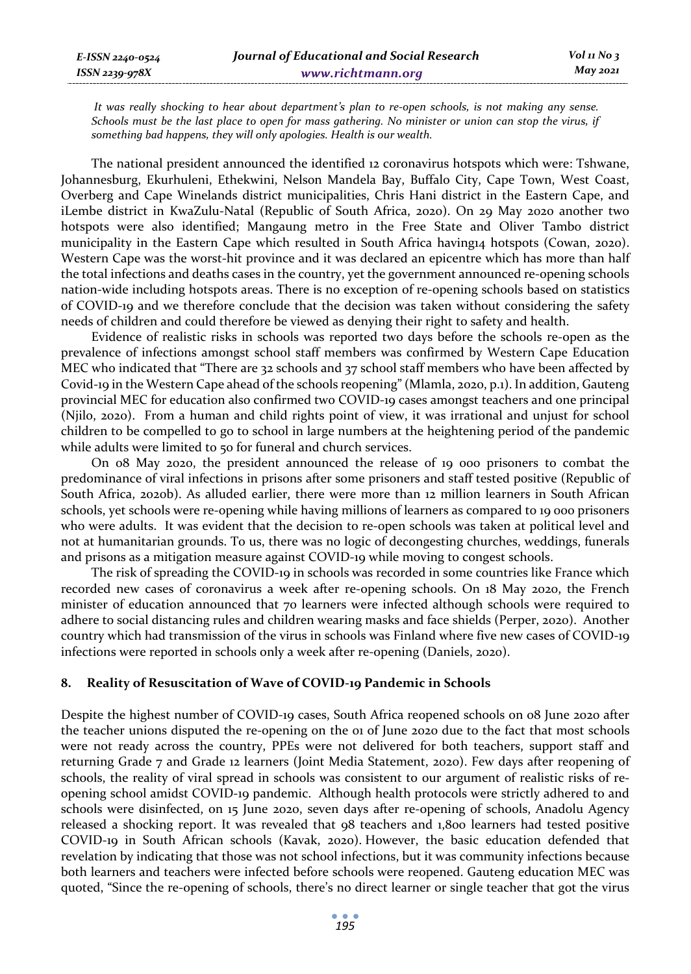*It was really shocking to hear about department's plan to re-open schools, is not making any sense. Schools must be the last place to open for mass gathering. No minister or union can stop the virus, if something bad happens, they will only apologies. Health is our wealth.* 

The national president announced the identified 12 coronavirus hotspots which were: Tshwane, Johannesburg, Ekurhuleni, Ethekwini, Nelson Mandela Bay, Buffalo City, Cape Town, West Coast, Overberg and Cape Winelands district municipalities, Chris Hani district in the Eastern Cape, and iLembe district in KwaZulu-Natal (Republic of South Africa, 2020). On 29 May 2020 another two hotspots were also identified; Mangaung metro in the Free State and Oliver Tambo district municipality in the Eastern Cape which resulted in South Africa having14 hotspots (Cowan, 2020). Western Cape was the worst-hit province and it was declared an epicentre which has more than half the total infections and deaths cases in the country, yet the government announced re-opening schools nation-wide including hotspots areas. There is no exception of re-opening schools based on statistics of COVID-19 and we therefore conclude that the decision was taken without considering the safety needs of children and could therefore be viewed as denying their right to safety and health.

Evidence of realistic risks in schools was reported two days before the schools re-open as the prevalence of infections amongst school staff members was confirmed by Western Cape Education MEC who indicated that "There are 32 schools and 37 school staff members who have been affected by Covid-19 in the Western Cape ahead of the schools reopening" (Mlamla, 2020, p.1). In addition, Gauteng provincial MEC for education also confirmed two COVID-19 cases amongst teachers and one principal (Njilo, 2020). From a human and child rights point of view, it was irrational and unjust for school children to be compelled to go to school in large numbers at the heightening period of the pandemic while adults were limited to 50 for funeral and church services.

On 08 May 2020, the president announced the release of 19 000 prisoners to combat the predominance of viral infections in prisons after some prisoners and staff tested positive (Republic of South Africa, 2020b). As alluded earlier, there were more than 12 million learners in South African schools, yet schools were re-opening while having millions of learners as compared to 19 000 prisoners who were adults. It was evident that the decision to re-open schools was taken at political level and not at humanitarian grounds. To us, there was no logic of decongesting churches, weddings, funerals and prisons as a mitigation measure against COVID-19 while moving to congest schools.

The risk of spreading the COVID-19 in schools was recorded in some countries like France which recorded new cases of coronavirus a week after re-opening schools. On 18 May 2020, the French minister of education announced that 70 learners were infected although schools were required to adhere to social distancing rules and children wearing masks and face shields (Perper, 2020). Another country which had transmission of the virus in schools was Finland where five new cases of COVID-19 infections were reported in schools only a week after re-opening (Daniels, 2020).

## **8. Reality of Resuscitation of Wave of COVID-19 Pandemic in Schools**

Despite the highest number of COVID-19 cases, South Africa reopened schools on 08 June 2020 after the teacher unions disputed the re-opening on the 01 of June 2020 due to the fact that most schools were not ready across the country, PPEs were not delivered for both teachers, support staff and returning Grade 7 and Grade 12 learners (Joint Media Statement, 2020). Few days after reopening of schools, the reality of viral spread in schools was consistent to our argument of realistic risks of reopening school amidst COVID-19 pandemic. Although health protocols were strictly adhered to and schools were disinfected, on 15 June 2020, seven days after re-opening of schools, Anadolu Agency released a shocking report. It was revealed that 98 teachers and 1,800 learners had tested positive COVID-19 in South African schools (Kavak, 2020). However, the basic education defended that revelation by indicating that those was not school infections, but it was community infections because both learners and teachers were infected before schools were reopened. Gauteng education MEC was quoted, "Since the re-opening of schools, there's no direct learner or single teacher that got the virus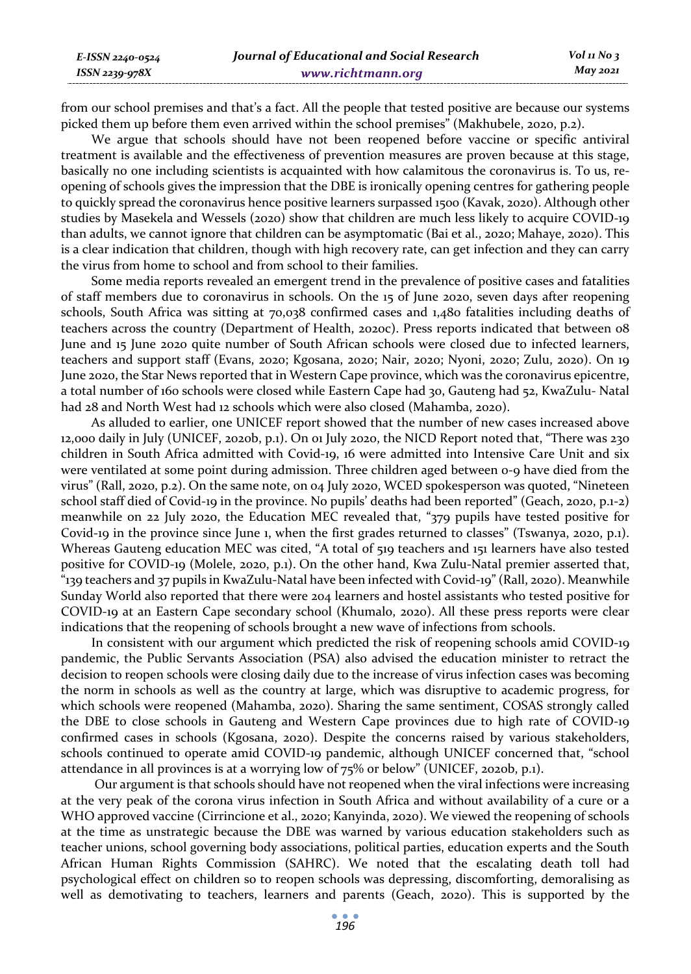*E-ISSN 2240-0524 ISSN 2239-978X*

from our school premises and that's a fact. All the people that tested positive are because our systems picked them up before them even arrived within the school premises" (Makhubele, 2020, p.2).

We argue that schools should have not been reopened before vaccine or specific antiviral treatment is available and the effectiveness of prevention measures are proven because at this stage, basically no one including scientists is acquainted with how calamitous the coronavirus is. To us, reopening of schools gives the impression that the DBE is ironically opening centres for gathering people to quickly spread the coronavirus hence positive learners surpassed 1500 (Kavak, 2020). Although other studies by Masekela and Wessels (2020) show that children are much less likely to acquire COVID-19 than adults, we cannot ignore that children can be asymptomatic (Bai et al., 2020; Mahaye, 2020). This is a clear indication that children, though with high recovery rate, can get infection and they can carry the virus from home to school and from school to their families.

Some media reports revealed an emergent trend in the prevalence of positive cases and fatalities of staff members due to coronavirus in schools. On the 15 of June 2020, seven days after reopening schools, South Africa was sitting at 70,038 confirmed cases and 1,480 fatalities including deaths of teachers across the country (Department of Health, 2020c). Press reports indicated that between 08 June and 15 June 2020 quite number of South African schools were closed due to infected learners, teachers and support staff (Evans, 2020; Kgosana, 2020; Nair, 2020; Nyoni, 2020; Zulu, 2020). On 19 June 2020, the Star News reported that in Western Cape province, which was the coronavirus epicentre, a total number of 160 schools were closed while Eastern Cape had 30, Gauteng had 52, KwaZulu- Natal had 28 and North West had 12 schools which were also closed (Mahamba, 2020).

As alluded to earlier, one UNICEF report showed that the number of new cases increased above 12,000 daily in July (UNICEF, 2020b, p.1). On 01 July 2020, the NICD Report noted that, "There was 230 children in South Africa admitted with Covid-19, 16 were admitted into Intensive Care Unit and six were ventilated at some point during admission. Three children aged between 0-9 have died from the virus" (Rall, 2020, p.2). On the same note, on 04 July 2020, WCED spokesperson was quoted, "Nineteen school staff died of Covid-19 in the province. No pupils' deaths had been reported" (Geach, 2020, p.1-2) meanwhile on 22 July 2020, the Education MEC revealed that, "379 pupils have tested positive for Covid-19 in the province since June 1, when the first grades returned to classes" (Tswanya, 2020, p.1). Whereas Gauteng education MEC was cited, "A total of 519 teachers and 151 learners have also tested positive for COVID-19 (Molele, 2020, p.1). On the other hand, Kwa Zulu-Natal premier asserted that, "139 teachers and 37 pupils in KwaZulu-Natal have been infected with Covid-19" (Rall, 2020). Meanwhile Sunday World also reported that there were 204 learners and hostel assistants who tested positive for COVID-19 at an Eastern Cape secondary school (Khumalo, 2020). All these press reports were clear indications that the reopening of schools brought a new wave of infections from schools.

In consistent with our argument which predicted the risk of reopening schools amid COVID-19 pandemic, the Public Servants Association (PSA) also advised the education minister to retract the decision to reopen schools were closing daily due to the increase of virus infection cases was becoming the norm in schools as well as the country at large, which was disruptive to academic progress, for which schools were reopened (Mahamba, 2020). Sharing the same sentiment, COSAS strongly called the DBE to close schools in Gauteng and Western Cape provinces due to high rate of COVID-19 confirmed cases in schools (Kgosana, 2020). Despite the concerns raised by various stakeholders, schools continued to operate amid COVID-19 pandemic, although UNICEF concerned that, "school attendance in all provinces is at a worrying low of 75% or below" (UNICEF, 2020b, p.1).

 Our argument is that schools should have not reopened when the viral infections were increasing at the very peak of the corona virus infection in South Africa and without availability of a cure or a WHO approved vaccine (Cirrincione et al., 2020; Kanyinda, 2020). We viewed the reopening of schools at the time as unstrategic because the DBE was warned by various education stakeholders such as teacher unions, school governing body associations, political parties, education experts and the South African Human Rights Commission (SAHRC). We noted that the escalating death toll had psychological effect on children so to reopen schools was depressing, discomforting, demoralising as well as demotivating to teachers, learners and parents (Geach, 2020). This is supported by the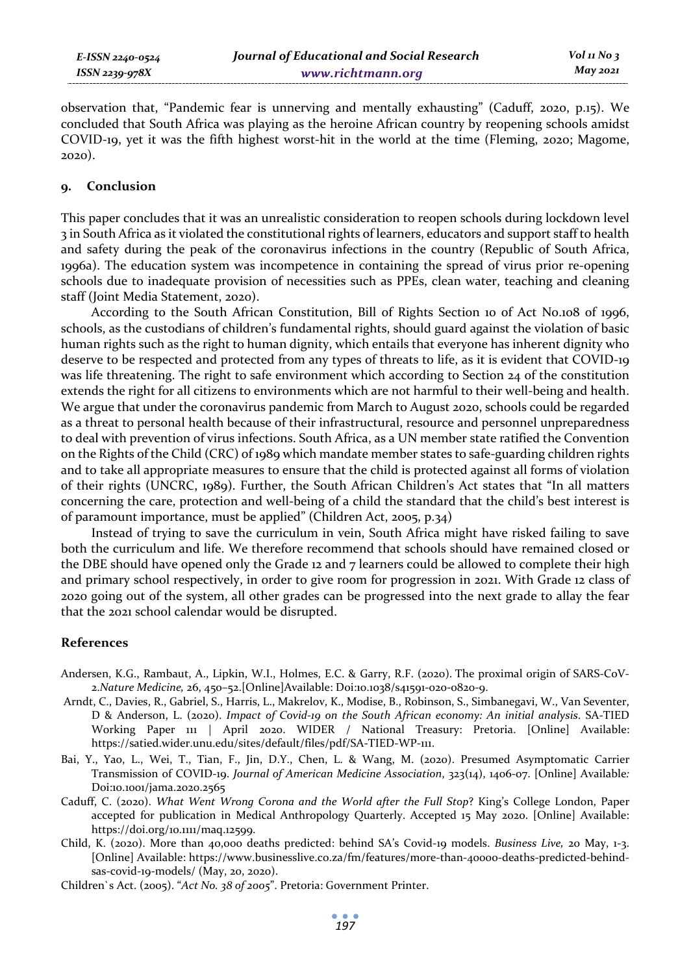*E-ISSN 2240-0524 ISSN 2239-978X*

observation that, "Pandemic fear is unnerving and mentally exhausting" (Caduff, 2020, p.15). We concluded that South Africa was playing as the heroine African country by reopening schools amidst COVID-19, yet it was the fifth highest worst-hit in the world at the time (Fleming, 2020; Magome, 2020).

## **9. Conclusion**

This paper concludes that it was an unrealistic consideration to reopen schools during lockdown level 3 in South Africa as it violated the constitutional rights of learners, educators and support staff to health and safety during the peak of the coronavirus infections in the country (Republic of South Africa, 1996a). The education system was incompetence in containing the spread of virus prior re-opening schools due to inadequate provision of necessities such as PPEs, clean water, teaching and cleaning staff (Joint Media Statement, 2020).

According to the South African Constitution, Bill of Rights Section 10 of Act No.108 of 1996, schools, as the custodians of children's fundamental rights, should guard against the violation of basic human rights such as the right to human dignity, which entails that everyone has inherent dignity who deserve to be respected and protected from any types of threats to life, as it is evident that COVID-19 was life threatening. The right to safe environment which according to Section 24 of the constitution extends the right for all citizens to environments which are not harmful to their well-being and health. We argue that under the coronavirus pandemic from March to August 2020, schools could be regarded as a threat to personal health because of their infrastructural, resource and personnel unpreparedness to deal with prevention of virus infections. South Africa, as a UN member state ratified the Convention on the Rights of the Child (CRC) of 1989 which mandate member states to safe-guarding children rights and to take all appropriate measures to ensure that the child is protected against all forms of violation of their rights (UNCRC, 1989). Further, the South African Children's Act states that "In all matters concerning the care, protection and well-being of a child the standard that the child's best interest is of paramount importance, must be applied" (Children Act, 2005, p.34)

Instead of trying to save the curriculum in vein, South Africa might have risked failing to save both the curriculum and life. We therefore recommend that schools should have remained closed or the DBE should have opened only the Grade 12 and 7 learners could be allowed to complete their high and primary school respectively, in order to give room for progression in 2021. With Grade 12 class of 2020 going out of the system, all other grades can be progressed into the next grade to allay the fear that the 2021 school calendar would be disrupted.

## **References**

- Andersen, K.G., Rambaut, A., Lipkin, W.I., Holmes, E.C. & Garry, R.F. (2020). The proximal origin of SARS-CoV-2.*Nature Medicine,* 26, 450–52.[Online]Available: Doi:10.1038/s41591-020-0820-9.
- Arndt, C., Davies, R., Gabriel, S., Harris, L., Makrelov, K., Modise, B., Robinson, S., Simbanegavi, W., Van Seventer, D & Anderson, L. (2020). *Impact of Covid-19 on the South African economy: An initial analysis*. SA-TIED Working Paper 111 | April 2020. WIDER / National Treasury: Pretoria. [Online] Available: https://satied.wider.unu.edu/sites/default/files/pdf/SA-TIED-WP-111.
- Bai, Y., Yao, L., Wei, T., Tian, F., Jin, D.Y., Chen, L. & Wang, M. (2020). Presumed Asymptomatic Carrier Transmission of COVID-19. *Journal of American Medicine Association*, 323(14), 1406-07. [Online] Available*:* Doi:10.1001/jama.2020.2565
- Caduff, C. (2020). *What Went Wrong Corona and the World after the Full Stop*? King's College London, Paper accepted for publication in Medical Anthropology Quarterly. Accepted 15 May 2020. [Online] Available: https://doi.org/10.1111/maq.12599.
- Child, K. (2020). More than 40,000 deaths predicted: behind SA's Covid-19 models. *Business Live,* 20 May, 1-3. [Online] Available: https://www.businesslive.co.za/fm/features/more-than-40000-deaths-predicted-behindsas-covid-19-models/ (May, 20, 2020).
- Children`s Act. (2005). "*Act No. 38 of 2005*". Pretoria: Government Printer.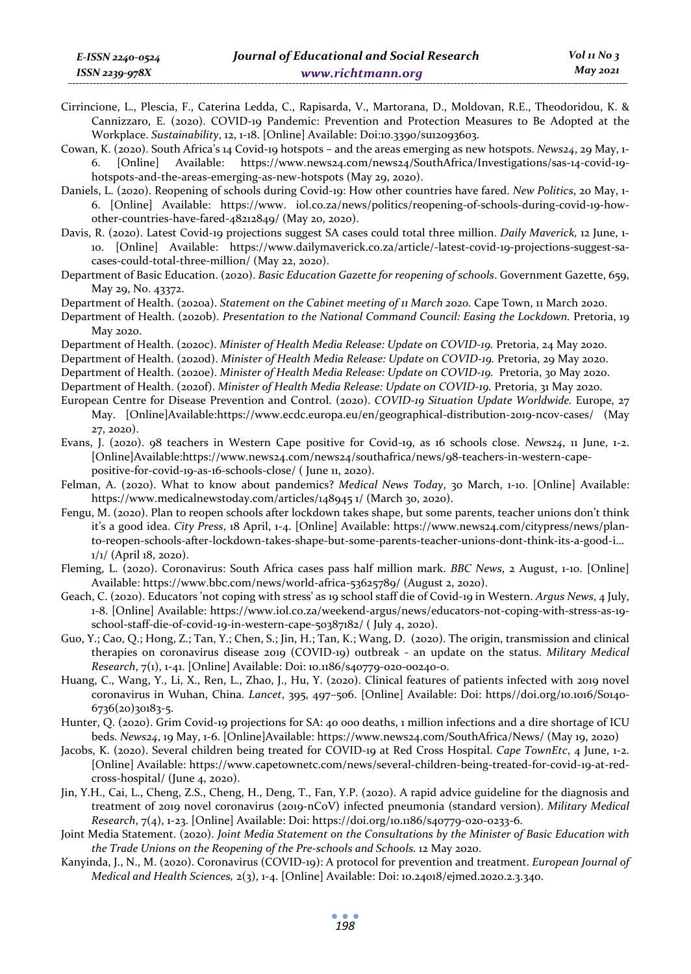Cirrincione, L., Plescia, F., Caterina Ledda, C., Rapisarda, V., Martorana, D., Moldovan, R.E., Theodoridou, K. & Cannizzaro, E. (2020). COVID-19 Pandemic: Prevention and Protection Measures to Be Adopted at the Workplace. *Sustainability*, 12, 1-18. [Online] Available: Doi:10.3390/su12093603.

Cowan, K. (2020). South Africa's 14 Covid-19 hotspots – and the areas emerging as new hotspots. *News24*, 29 May, 1- 6. [Online] Available: https://www.news24.com/news24/SouthAfrica/Investigations/sas-14-covid-19 hotspots-and-the-areas-emerging-as-new-hotspots (May 29, 2020).

Daniels, L. (2020). Reopening of schools during Covid-19: How other countries have fared. *New Politics*, 20 May, 1- 6. [Online] Available: https://www. iol.co.za/news/politics/reopening-of-schools-during-covid-19-howother-countries-have-fared-48212849/ (May 20, 2020).

- Davis, R. (2020). Latest Covid-19 projections suggest SA cases could total three million. *Daily Maverick,* 12 June, 1- 10. [Online] Available: https://www.dailymaverick.co.za/article/-latest-covid-19-projections-suggest-sacases-could-total-three-million/ (May 22, 2020).
- Department of Basic Education. (2020). *Basic Education Gazette for reopening of schools*. Government Gazette, 659, May 29, No. 43372.

Department of Health. (2020a). *Statement on the Cabinet meeting of 11 March 2020.* Cape Town, 11 March 2020.

Department of Health. (2020b). *Presentation to the National Command Council: Easing the Lockdown.* Pretoria, 19 May 2020.

Department of Health. (2020c). *Minister of Health Media Release: Update on COVID-19.* Pretoria, 24 May 2020.

Department of Health. (2020d). *Minister of Health Media Release: Update on COVID-19.* Pretoria, 29 May 2020.

Department of Health. (2020e). *Minister of Health Media Release: Update on COVID-19.* Pretoria, 30 May 2020.

Department of Health. (2020f). *Minister of Health Media Release: Update on COVID-19.* Pretoria, 31 May 2020.

- European Centre for Disease Prevention and Control. (2020). *COVID-19 Situation Update Worldwide.* Europe, 27 May. [Online]Available:https://www.ecdc.europa.eu/en/geographical-distribution-2019-ncov-cases/ (May 27, 2020).
- Evans, J. (2020). 98 teachers in Western Cape positive for Covid-19, as 16 schools close. *News24*, 11 June, 1-2. [Online]Available:https://www.news24.com/news24/southafrica/news/98-teachers-in-western-capepositive-for-covid-19-as-16-schools-close/ ( June 11, 2020).
- Felman, A. (2020). What to know about pandemics? *Medical News Today*, 30 March, 1-10. [Online] Available: https://www.medicalnewstoday.com/articles/148945 1/ (March 30, 2020).
- Fengu, M. (2020). Plan to reopen schools after lockdown takes shape, but some parents, teacher unions don't think it's a good idea. *City Press*, 18 April, 1-4. [Online] Available: https://www.news24.com/citypress/news/planto-reopen-schools-after-lockdown-takes-shape-but-some-parents-teacher-unions-dont-think-its-a-good-i… 1/1/ (April 18, 2020).
- Fleming, L. (2020). Coronavirus: South Africa cases pass half million mark. *BBC News*, 2 August, 1-10. [Online] Available: https://www.bbc.com/news/world-africa-53625789/ (August 2, 2020).
- Geach, C. (2020). Educators 'not coping with stress' as 19 school staff die of Covid-19 in Western. *Argus News*, 4 July, 1-8. [Online] Available: https://www.iol.co.za/weekend-argus/news/educators-not-coping-with-stress-as-19 school-staff-die-of-covid-19-in-western-cape-50387182/ ( July 4, 2020).
- Guo, Y.; Cao, Q.; Hong, Z.; Tan, Y.; Chen, S.; Jin, H.; Tan, K.; Wang, D. (2020). The origin, transmission and clinical therapies on coronavirus disease 2019 (COVID-19) outbreak - an update on the status. *Military Medical Research*, 7(1), 1-41. [Online] Available: Doi: 10.1186/s40779-020-00240-0.
- Huang, C., Wang, Y., Li, X., Ren, L., Zhao, J., Hu, Y. (2020). Clinical features of patients infected with 2019 novel coronavirus in Wuhan, China. *Lancet*, 395, 497–506. [Online] Available: Doi: https//doi.org/10.1016/S0140- 6736(20)30183-5.
- Hunter, Q. (2020). Grim Covid-19 projections for SA: 40 000 deaths, 1 million infections and a dire shortage of ICU beds. *News24*, 19 May, 1-6. [Online]Available: https://www.news24.com/SouthAfrica/News/ (May 19, 2020)
- Jacobs, K. (2020). Several children being treated for COVID-19 at Red Cross Hospital. *Cape TownEtc*, 4 June, 1-2. [Online] Available: https://www.capetownetc.com/news/several-children-being-treated-for-covid-19-at-redcross-hospital/ (June 4, 2020).
- Jin, Y.H., Cai, L., Cheng, Z.S., Cheng, H., Deng, T., Fan, Y.P. (2020). A rapid advice guideline for the diagnosis and treatment of 2019 novel coronavirus (2019-nCoV) infected pneumonia (standard version). *Military Medical Research*, 7(4), 1-23. [Online] Available: Doi: https://doi.org/10.1186/s40779-020-0233-6.
- Joint Media Statement. (2020). *Joint Media Statement on the Consultations by the Minister of Basic Education with the Trade Unions on the Reopening of the Pre-schools and Schools.* 12 May 2020.
- Kanyinda, J., N., M. (2020). Coronavirus (COVID-19): A protocol for prevention and treatment. *European Journal of Medical and Health Sciences,* 2(3), 1-4. [Online] Available: Doi: 10.24018/ejmed.2020.2.3.340.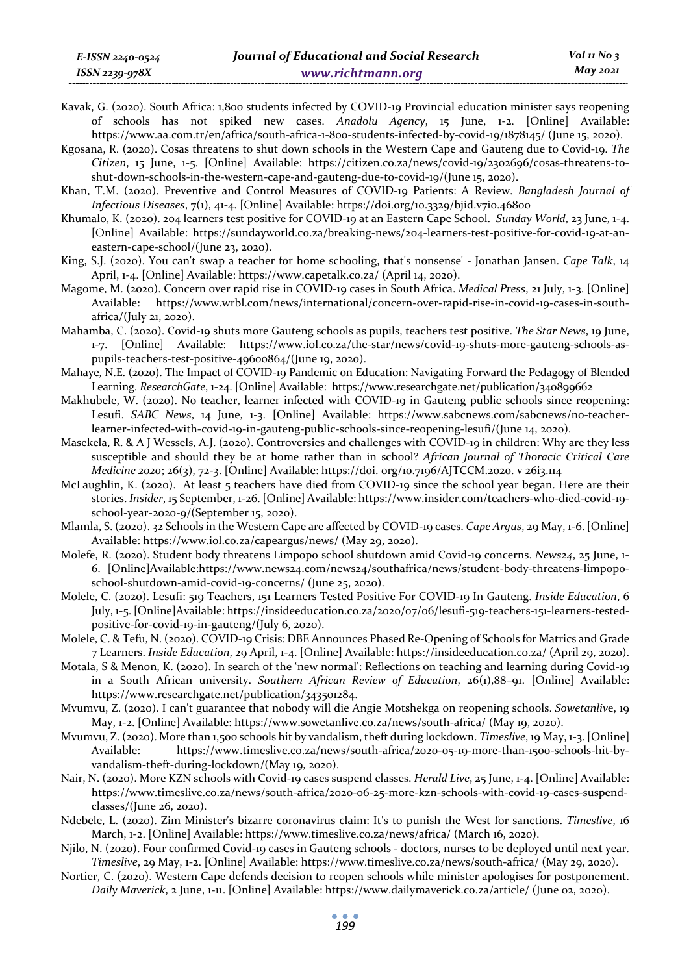- Kavak, G. (2020). South Africa: 1,800 students infected by COVID-19 Provincial education minister says reopening of schools has not spiked new cases. *Anadolu Agency*, 15 June, 1-2. [Online] Available: https://www.aa.com.tr/en/africa/south-africa-1-800-students-infected-by-covid-19/1878145/ (June 15, 2020).
- Kgosana, R. (2020). Cosas threatens to shut down schools in the Western Cape and Gauteng due to Covid-19. *The Citizen*, 15 June, 1-5. [Online] Available: https://citizen.co.za/news/covid-19/2302696/cosas-threatens-toshut-down-schools-in-the-western-cape-and-gauteng-due-to-covid-19/(June 15, 2020).
- Khan, T.M. (2020). Preventive and Control Measures of COVID-19 Patients: A Review. *Bangladesh Journal of Infectious Diseases*, 7(1), 41-4. [Online] Available: https://doi.org/10.3329/bjid.v7i0.46800
- Khumalo, K. (2020). 204 learners test positive for COVID-19 at an Eastern Cape School. *Sunday World*, 23 June, 1-4. [Online] Available: https://sundayworld.co.za/breaking-news/204-learners-test-positive-for-covid-19-at-aneastern-cape-school/(June 23, 2020).
- King, S.J. (2020). You can't swap a teacher for home schooling, that's nonsense' Jonathan Jansen. *Cape Talk*, 14 April, 1-4. [Online] Available: https://www.capetalk.co.za/ (April 14, 2020).
- Magome, M. (2020). Concern over rapid rise in COVID-19 cases in South Africa. *Medical Press*, 21 July, 1-3. [Online] Available: https://www.wrbl.com/news/international/concern-over-rapid-rise-in-covid-19-cases-in-southafrica/(July 21, 2020).
- Mahamba, C. (2020). Covid-19 shuts more Gauteng schools as pupils, teachers test positive. *The Star News*, 19 June, 1-7. [Online] Available: https://www.iol.co.za/the-star/news/covid-19-shuts-more-gauteng-schools-aspupils-teachers-test-positive-49600864/(June 19, 2020).
- Mahaye, N.E. (2020). The Impact of COVID-19 Pandemic on Education: Navigating Forward the Pedagogy of Blended Learning. *ResearchGate*, 1-24. [Online] Available: https://www.researchgate.net/publication/340899662
- Makhubele, W. (2020). No teacher, learner infected with COVID-19 in Gauteng public schools since reopening: Lesufi. *SABC News*, 14 June, 1-3. [Online] Available: https://www.sabcnews.com/sabcnews/no-teacherlearner-infected-with-covid-19-in-gauteng-public-schools-since-reopening-lesufi/(June 14, 2020).
- Masekela, R. & A J Wessels, A.J. (2020). Controversies and challenges with COVID-19 in children: Why are they less susceptible and should they be at home rather than in school? *African Journal of Thoracic Critical Care Medicine 2020*; 26(3), 72-3. [Online] Available: https://doi. org/10.7196/AJTCCM.2020. v 26i3.114
- McLaughlin, K. (2020). At least 5 teachers have died from COVID-19 since the school year began. Here are their stories. *Insider*, 15 September, 1-26. [Online] Available: https://www.insider.com/teachers-who-died-covid-19 school-year-2020-9/(September 15, 2020).
- Mlamla, S. (2020). 32 Schools in the Western Cape are affected by COVID-19 cases. *Cape Argus*, 29 May, 1-6. [Online] Available: https://www.iol.co.za/capeargus/news/ (May 29, 2020).
- Molefe, R. (2020). Student body threatens Limpopo school shutdown amid Covid-19 concerns. *News24*, 25 June, 1- 6. [Online]Available:https://www.news24.com/news24/southafrica/news/student-body-threatens-limpoposchool-shutdown-amid-covid-19-concerns/ (June 25, 2020).
- Molele, C. (2020). Lesufi: 519 Teachers, 151 Learners Tested Positive For COVID-19 In Gauteng. *Inside Education*, 6 July, 1-5. [Online]Available: https://insideeducation.co.za/2020/07/06/lesufi-519-teachers-151-learners-testedpositive-for-covid-19-in-gauteng/(July 6, 2020).
- Molele, C. & Tefu, N. (2020). COVID-19 Crisis: DBE Announces Phased Re-Opening of Schools for Matrics and Grade 7 Learners. *Inside Education*, 29 April, 1-4. [Online] Available: https://insideeducation.co.za/ (April 29, 2020).
- Motala, S & Menon, K. (2020). In search of the 'new normal': Reflections on teaching and learning during Covid-19 in a South African university. *Southern African Review of Education*, 26(1),88–91. [Online] Available: https://www.researchgate.net/publication/343501284.
- Mvumvu, Z. (2020). I can't guarantee that nobody will die Angie Motshekga on reopening schools. *Sowetanliv*e, 19 May, 1-2. [Online] Available: https://www.sowetanlive.co.za/news/south-africa/ (May 19, 2020).
- Mvumvu, Z. (2020). More than 1,500 schools hit by vandalism, theft during lockdown. *Timeslive*, 19 May, 1-3. [Online] Available: https://www.timeslive.co.za/news/south-africa/2020-05-19-more-than-1500-schools-hit-byvandalism-theft-during-lockdown/(May 19, 2020).
- Nair, N. (2020). More KZN schools with Covid-19 cases suspend classes. *Herald Live*, 25 June, 1-4. [Online] Available: https://www.timeslive.co.za/news/south-africa/2020-06-25-more-kzn-schools-with-covid-19-cases-suspendclasses/(June 26, 2020).
- Ndebele, L. (2020). Zim Minister's bizarre coronavirus claim: It's to punish the West for sanctions. *Timeslive*, 16 March, 1-2. [Online] Available: https://www.timeslive.co.za/news/africa/ (March 16, 2020).
- Njilo, N. (2020). Four confirmed Covid-19 cases in Gauteng schools doctors, nurses to be deployed until next year. *Timeslive*, 29 May, 1-2. [Online] Available: https://www.timeslive.co.za/news/south-africa/ (May 29, 2020).
- Nortier, C. (2020). Western Cape defends decision to reopen schools while minister apologises for postponement. *Daily Maverick*, 2 June, 1-11. [Online] Available: https://www.dailymaverick.co.za/article/ (June 02, 2020).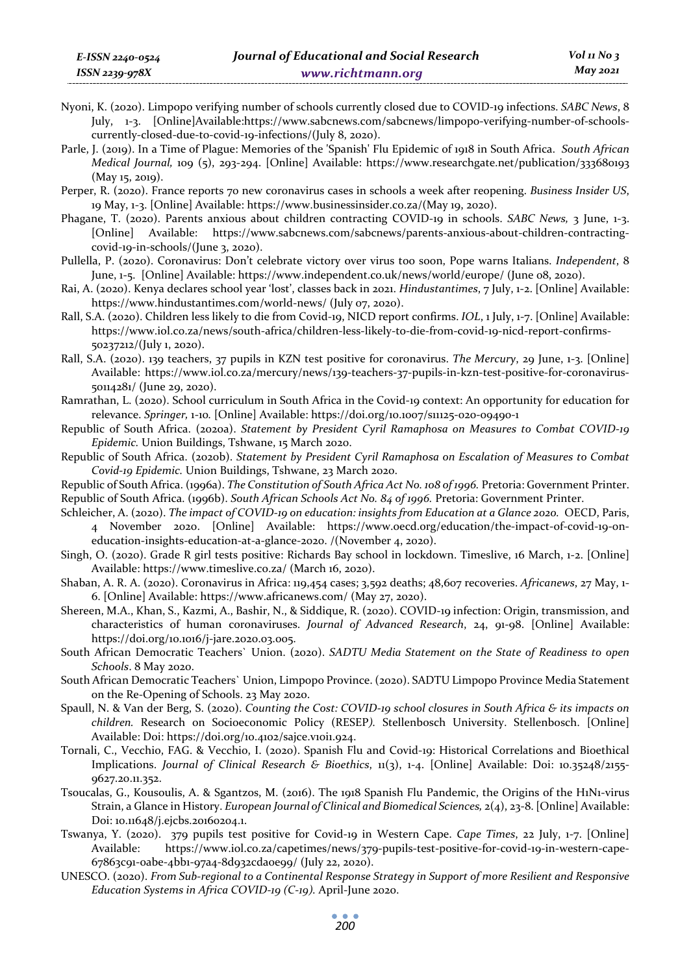- Nyoni, K. (2020). Limpopo verifying number of schools currently closed due to COVID-19 infections. *SABC News*, 8 July, 1-3. [Online]Available:https://www.sabcnews.com/sabcnews/limpopo-verifying-number-of-schoolscurrently-closed-due-to-covid-19-infections/(July 8, 2020).
- Parle, J. (2019). In a Time of Plague: Memories of the 'Spanish' Flu Epidemic of 1918 in South Africa. *South African Medical Journal,* 109 (5), 293-294. [Online] Available: https://www.researchgate.net/publication/333680193 (May 15, 2019).
- Perper, R. (2020). France reports 70 new coronavirus cases in schools a week after reopening. *Business Insider US*, 19 May, 1-3. [Online] Available: https://www.businessinsider.co.za/(May 19, 2020).
- Phagane, T. (2020). Parents anxious about children contracting COVID-19 in schools. *SABC News,* 3 June, 1-3. [Online] Available: https://www.sabcnews.com/sabcnews/parents-anxious-about-children-contractingcovid-19-in-schools/(June 3, 2020).
- Pullella, P. (2020). Coronavirus: Don't celebrate victory over virus too soon, Pope warns Italians. *Independent*, 8 June, 1-5. [Online] Available: https://www.independent.co.uk/news/world/europe/ (June 08, 2020).
- Rai, A. (2020). Kenya declares school year 'lost', classes back in 2021. *Hindustantimes*, 7 July, 1-2. [Online] Available: https://www.hindustantimes.com/world-news/ (July 07, 2020).
- Rall, S.A. (2020). Children less likely to die from Covid-19, NICD report confirms. *IOL*, 1 July, 1-7. [Online] Available: https://www.iol.co.za/news/south-africa/children-less-likely-to-die-from-covid-19-nicd-report-confirms-50237212/(July 1, 2020).
- Rall, S.A. (2020). 139 teachers, 37 pupils in KZN test positive for coronavirus. *The Mercury*, 29 June, 1-3. [Online] Available: https://www.iol.co.za/mercury/news/139-teachers-37-pupils-in-kzn-test-positive-for-coronavirus-50114281/ (June 29, 2020).
- Ramrathan, L. (2020). School curriculum in South Africa in the Covid-19 context: An opportunity for education for relevance. *Springer,* 1-10*.* [Online] Available: https://doi.org/10.1007/s11125-020-09490-1
- Republic of South Africa. (2020a). *Statement by President Cyril Ramaphosa on Measures to Combat COVID-19 Epidemic.* Union Buildings, Tshwane, 15 March 2020.
- Republic of South Africa. (2020b). *Statement by President Cyril Ramaphosa on Escalation of Measures to Combat Covid-19 Epidemic.* Union Buildings, Tshwane, 23 March 2020.
- Republic of South Africa. (1996a). *The Constitution of South Africa Act No. 108 of 1996.* Pretoria: Government Printer. Republic of South Africa. (1996b). *South African Schools Act No. 84 of 1996.* Pretoria: Government Printer.
- Schleicher, A. (2020). *The impact of COVID-19 on education: insights from Education at a Glance 2020.* OECD, Paris, 4 November 2020. [Online] Available: https://www.oecd.org/education/the-impact-of-covid-19-oneducation-insights-education-at-a-glance-2020. /(November 4, 2020).
- Singh, O. (2020). Grade R girl tests positive: Richards Bay school in lockdown. Timeslive, 16 March, 1-2. [Online] Available: https://www.timeslive.co.za/ (March 16, 2020).
- Shaban, A. R. A. (2020). Coronavirus in Africa: 119,454 cases; 3,592 deaths; 48,607 recoveries. *Africanews*, 27 May, 1- 6. [Online] Available: https://www.africanews.com/ (May 27, 2020).
- Shereen, M.A., Khan, S., Kazmi, A., Bashir, N., & Siddique, R. (2020). COVID-19 infection: Origin, transmission, and characteristics of human coronaviruses. *Journal of Advanced Research*, 24, 91-98. [Online] Available: https://doi.org/10.1016/j-jare.2020.03.005.
- South African Democratic Teachers` Union. (2020). *SADTU Media Statement on the State of Readiness to open Schools*. 8 May 2020.
- South African Democratic Teachers` Union, Limpopo Province. (2020). SADTU Limpopo Province Media Statement on the Re-Opening of Schools. 23 May 2020.
- Spaull, N. & Van der Berg, S. (2020). *Counting the Cost: COVID-19 school closures in South Africa & its impacts on children.* Research on Socioeconomic Policy (RESEP*).* Stellenbosch University. Stellenbosch. [Online] Available: Doi: https://doi.org/10.4102/sajce.v10i1.924.
- Tornali, C., Vecchio, FAG. & Vecchio, I. (2020). Spanish Flu and Covid-19: Historical Correlations and Bioethical Implications. *Journal of Clinical Research & Bioethics*, 11(3), 1-4. [Online] Available: Doi: 10.35248/2155- 9627.20.11.352.
- Tsoucalas, G., Kousoulis, A. & Sgantzos, M. (2016). The 1918 Spanish Flu Pandemic, the Origins of the H1N1-virus Strain, a Glance in History. *European Journal of Clinical and Biomedical Sciences,* 2(4), 23-8. [Online] Available: Doi: 10.11648/j.ejcbs.20160204.1.
- Tswanya, Y. (2020). 379 pupils test positive for Covid-19 in Western Cape. *Cape Times*, 22 July, 1-7. [Online] Available: https://www.iol.co.za/capetimes/news/379-pupils-test-positive-for-covid-19-in-western-cape-67863c91-0abe-4bb1-97a4-8d932cda0e99/ (July 22, 2020).
- UNESCO. (2020). *From Sub-regional to a Continental Response Strategy in Support of more Resilient and Responsive Education Systems in Africa COVID-19 (C-19).* April-June 2020.